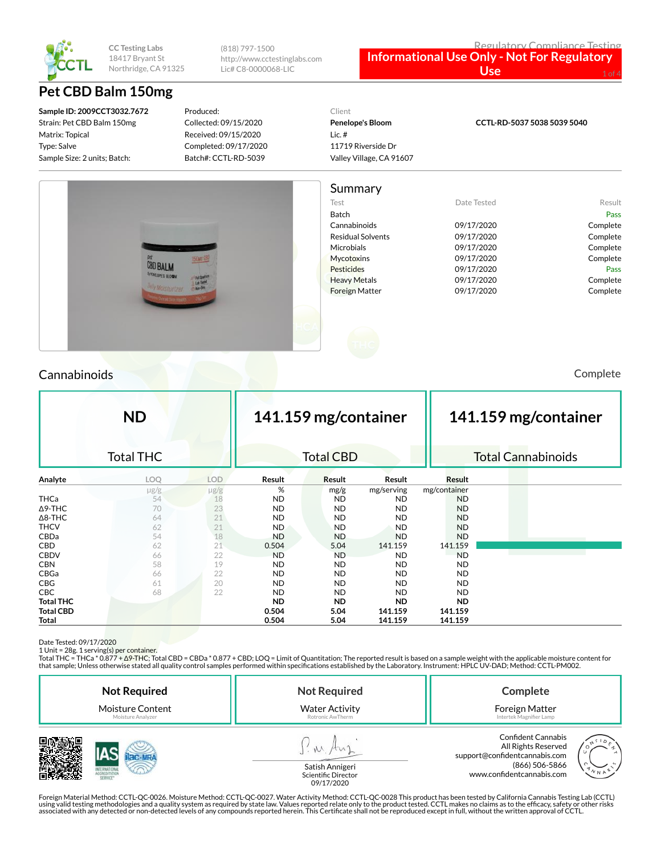

(818) 797-1500 http://www.cctestinglabs.com Lic# C8-0000068-LIC

#### Regulatory Compliance Testing **Informational Use Only - Not For Regulatory**  Use

# **Pet CBD Balm 150mg**

**Sample ID: 2009CCT3032.7672** Strain: Pet CBD Balm 150mg Matrix: Topical Type: Salve Sample Size: 2 units; Batch:

Produced: Collected: 09/15/2020 Received: 09/15/2020 Completed: 09/17/2020 Batch#: CCTL-RD-5039

# Client **Penelope's Bloom**

Lic. # 11719 Riverside Dr Valley Village, CA 91607 **CCTL-RD-5037 5038 5039 5040**



### Cannabinoids Complete

|                  | <b>ND</b>        |            |           | 141.159 mg/container |            |              | 141.159 mg/container |                           |  |
|------------------|------------------|------------|-----------|----------------------|------------|--------------|----------------------|---------------------------|--|
|                  | <b>Total THC</b> |            |           | <b>Total CBD</b>     |            |              |                      | <b>Total Cannabinoids</b> |  |
| Analyte          | LOQ              | <b>LOD</b> | Result    | Result               | Result     | Result       |                      |                           |  |
|                  | $\mu$ g/g        | $\mu$ g/g  | %         | mg/g                 | mg/serving | mg/container |                      |                           |  |
| <b>THCa</b>      | 54               | 18         | ND.       | <b>ND</b>            | <b>ND</b>  | <b>ND</b>    |                      |                           |  |
| $\Delta$ 9-THC   | 70               | 23         | <b>ND</b> | <b>ND</b>            | <b>ND</b>  | <b>ND</b>    |                      |                           |  |
| $\Delta$ 8-THC   | 64               | 21         | <b>ND</b> | <b>ND</b>            | <b>ND</b>  | <b>ND</b>    |                      |                           |  |
| <b>THCV</b>      | 62               | 21         | ND.       | <b>ND</b>            | <b>ND</b>  | <b>ND</b>    |                      |                           |  |
| CBDa             | 54               | 18         | <b>ND</b> | <b>ND</b>            | <b>ND</b>  | <b>ND</b>    |                      |                           |  |
| <b>CBD</b>       | 62               | 21         | 0.504     | 5.04                 | 141.159    | 141.159      |                      |                           |  |
| <b>CBDV</b>      | 66               | 22         | <b>ND</b> | <b>ND</b>            | <b>ND</b>  | <b>ND</b>    |                      |                           |  |
| <b>CBN</b>       | 58               | 19         | <b>ND</b> | <b>ND</b>            | ND.        | <b>ND</b>    |                      |                           |  |
| CBGa             | 66               | 22         | <b>ND</b> | <b>ND</b>            | <b>ND</b>  | <b>ND</b>    |                      |                           |  |
| <b>CBG</b>       | 61               | 20         | <b>ND</b> | <b>ND</b>            | <b>ND</b>  | <b>ND</b>    |                      |                           |  |
| CBC              | 68               | 22         | <b>ND</b> | <b>ND</b>            | <b>ND</b>  | <b>ND</b>    |                      |                           |  |
| <b>Total THC</b> |                  |            | <b>ND</b> | <b>ND</b>            | <b>ND</b>  | <b>ND</b>    |                      |                           |  |
| <b>Total CBD</b> |                  |            | 0.504     | 5.04                 | 141.159    | 141.159      |                      |                           |  |
| Total            |                  |            | 0.504     | 5.04                 | 141.159    | 141.159      |                      |                           |  |

Date Tested: 09/17/2020<br>1 Unit = 28g. 1 serving(s) per container.<br>Total THC = THCa \* 0.877 + Δ9-THC; Total CBD = CBDa \* 0.877 + CBD; LOQ = Limit of Quantitation; The reported result is based on a sample weight with the app that sample; Unless otherwise stated all quality control samples performed within specications established by the Laboratory. Instrument: HPLC UV-DAD; Method: CCTL-PM002.

| <b>Not Required</b>     | <b>Not Required</b>    | Complete                                                                                            |  |  |
|-------------------------|------------------------|-----------------------------------------------------------------------------------------------------|--|--|
| <b>Moisture Content</b> | <b>Water Activity</b>  | Foreign Matter                                                                                      |  |  |
| Moisture Analyzer       | Rotronic AwTherm       | Intertek Magnifier Lamp                                                                             |  |  |
| 7000000                 | <b>Catich Annigori</b> | <b>Confident Cannabis</b><br>All Rights Reserved<br>support@confidentcannabis.com<br>(866) 506-5866 |  |  |



www.confidentcannabis.com

Satish Annigeri Scientific Director 09/17/2020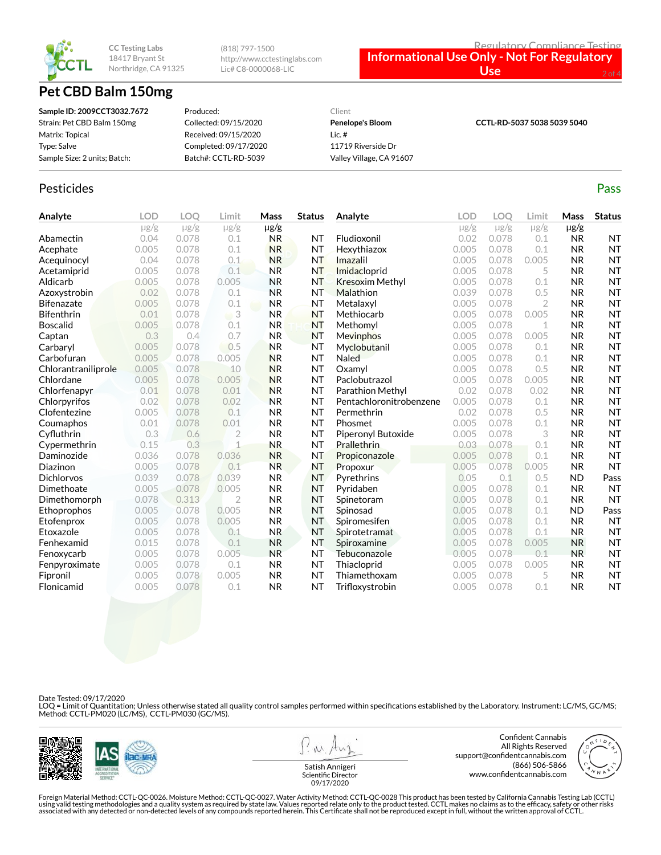

# **Pet CBD Balm 150mg**

(818) 797-1500 http://www.cctestinglabs.com Lic# C8-0000068-LIC



| Sample ID: 2009CCT3032.7672  | Produced:             | Client                   |                             |
|------------------------------|-----------------------|--------------------------|-----------------------------|
| Strain: Pet CBD Balm 150mg   | Collected: 09/15/2020 | <b>Penelope's Bloom</b>  | CCTL-RD-5037 5038 5039 5040 |
| Matrix: Topical              | Received: 09/15/2020  | Lic. $#$                 |                             |
| Type: Salve                  | Completed: 09/17/2020 | 11719 Riverside Dr       |                             |
| Sample Size: 2 units; Batch: | Batch#: CCTL-RD-5039  | Valley Village, CA 91607 |                             |

### Pesticides **Passage Contract Contract Contract Contract Contract Contract Contract Contract Contract Contract Contract Contract Contract Contract Contract Contract Contract Contract Contract Contract Contract Contract Cont**

| Analyte             | <b>LOD</b> | <b>LOO</b> | Limit          | Mass      | <b>Status</b> | Analyte                 | LOD       | LOO       | Limit     | Mass      | <b>Status</b> |
|---------------------|------------|------------|----------------|-----------|---------------|-------------------------|-----------|-----------|-----------|-----------|---------------|
|                     | $\mu$ g/g  | $\mu$ g/g  | $\mu$ g/g      | $\mu$ g/g |               |                         | $\mu$ g/g | $\mu$ g/g | $\mu$ g/g | $\mu$ g/g |               |
| Abamectin           | 0.04       | 0.078      | 0.1            | <b>NR</b> | NT            | Fludioxonil             | 0.02      | 0.078     | 0.1       | <b>NR</b> | <b>NT</b>     |
| Acephate            | 0.005      | 0.078      | 0.1            | <b>NR</b> | NT            | Hexythiazox             | 0.005     | 0.078     | 0.1       | <b>NR</b> | <b>NT</b>     |
| Acequinocyl         | 0.04       | 0.078      | 0.1            | <b>NR</b> | <b>NT</b>     | Imazalil                | 0.005     | 0.078     | 0.005     | <b>NR</b> | <b>NT</b>     |
| Acetamiprid         | 0.005      | 0.078      | 0.1            | <b>NR</b> | NT            | Imidacloprid            | 0.005     | 0.078     | 5         | <b>NR</b> | <b>NT</b>     |
| Aldicarb            | 0.005      | 0.078      | 0.005          | <b>NR</b> | <b>NT</b>     | <b>Kresoxim Methyl</b>  | 0.005     | 0.078     | 0.1       | <b>NR</b> | <b>NT</b>     |
| Azoxystrobin        | 0.02       | 0.078      | 0.1            | <b>NR</b> | NT            | Malathion               | 0.039     | 0.078     | 0.5       | <b>NR</b> | <b>NT</b>     |
| <b>Bifenazate</b>   | 0.005      | 0.078      | 0.1            | <b>NR</b> | <b>NT</b>     | Metalaxyl               | 0.005     | 0.078     | 2         | <b>NR</b> | <b>NT</b>     |
| <b>Bifenthrin</b>   | 0.01       | 0.078      | 3              | <b>NR</b> | <b>NT</b>     | Methiocarb              | 0.005     | 0.078     | 0.005     | <b>NR</b> | <b>NT</b>     |
| <b>Boscalid</b>     | 0.005      | 0.078      | 0.1            | <b>NR</b> | <b>NT</b>     | Methomyl                | 0.005     | 0.078     | 1         | <b>NR</b> | <b>NT</b>     |
| Captan              | 0.3        | 0.4        | 0.7            | <b>NR</b> | NT            | <b>Mevinphos</b>        | 0.005     | 0.078     | 0.005     | <b>NR</b> | <b>NT</b>     |
| Carbaryl            | 0.005      | 0.078      | 0.5            | <b>NR</b> | <b>NT</b>     | Myclobutanil            | 0.005     | 0.078     | 0.1       | <b>NR</b> | <b>NT</b>     |
| Carbofuran          | 0.005      | 0.078      | 0.005          | <b>NR</b> | <b>NT</b>     | Naled                   | 0.005     | 0.078     | 0.1       | <b>NR</b> | <b>NT</b>     |
| Chlorantraniliprole | 0.005      | 0.078      | 10             | <b>NR</b> | <b>NT</b>     | Oxamyl                  | 0.005     | 0.078     | 0.5       | <b>NR</b> | <b>NT</b>     |
| Chlordane           | 0.005      | 0.078      | 0.005          | <b>NR</b> | NT            | Paclobutrazol           | 0.005     | 0.078     | 0.005     | <b>NR</b> | <b>NT</b>     |
| Chlorfenapyr        | 0.01       | 0.078      | 0.01           | <b>NR</b> | <b>NT</b>     | Parathion Methyl        | 0.02      | 0.078     | 0.02      | <b>NR</b> | <b>NT</b>     |
| Chlorpyrifos        | 0.02       | 0.078      | 0.02           | <b>NR</b> | <b>NT</b>     | Pentachloronitrobenzene | 0.005     | 0.078     | 0.1       | <b>NR</b> | <b>NT</b>     |
| Clofentezine        | 0.005      | 0.078      | 0.1            | <b>NR</b> | <b>NT</b>     | Permethrin              | 0.02      | 0.078     | 0.5       | <b>NR</b> | <b>NT</b>     |
| Coumaphos           | 0.01       | 0.078      | 0.01           | <b>NR</b> | <b>NT</b>     | Phosmet                 | 0.005     | 0.078     | 0.1       | <b>NR</b> | <b>NT</b>     |
| Cyfluthrin          | 0.3        | 0.6        | $\overline{2}$ | <b>NR</b> | <b>NT</b>     | Piperonyl Butoxide      | 0.005     | 0.078     | 3         | <b>NR</b> | <b>NT</b>     |
| Cypermethrin        | 0.15       | 0.3        | $\mathbf{1}$   | <b>NR</b> | <b>NT</b>     | <b>Prallethrin</b>      | 0.03      | 0.078     | 0.1       | <b>NR</b> | <b>NT</b>     |
| Daminozide          | 0.036      | 0.078      | 0.036          | <b>NR</b> | <b>NT</b>     | Propiconazole           | 0.005     | 0.078     | 0.1       | <b>NR</b> | <b>NT</b>     |
| Diazinon            | 0.005      | 0.078      | 0.1            | <b>NR</b> | <b>NT</b>     | Propoxur                | 0.005     | 0.078     | 0.005     | <b>NR</b> | <b>NT</b>     |
| <b>Dichlorvos</b>   | 0.039      | 0.078      | 0.039          | <b>NR</b> | <b>NT</b>     | Pyrethrins              | 0.05      | 0.1       | 0.5       | <b>ND</b> | Pass          |
| Dimethoate          | 0.005      | 0.078      | 0.005          | <b>NR</b> | <b>NT</b>     | Pyridaben               | 0.005     | 0.078     | 0.1       | <b>NR</b> | <b>NT</b>     |
| Dimethomorph        | 0.078      | 0.313      | $\overline{2}$ | <b>NR</b> | <b>NT</b>     | Spinetoram              | 0.005     | 0.078     | 0.1       | <b>NR</b> | <b>NT</b>     |
| Ethoprophos         | 0.005      | 0.078      | 0.005          | <b>NR</b> | <b>NT</b>     | Spinosad                | 0.005     | 0.078     | 0.1       | <b>ND</b> | Pass          |
| Etofenprox          | 0.005      | 0.078      | 0.005          | <b>NR</b> | <b>NT</b>     | Spiromesifen            | 0.005     | 0.078     | 0.1       | <b>NR</b> | <b>NT</b>     |
| Etoxazole           | 0.005      | 0.078      | 0.1            | <b>NR</b> | <b>NT</b>     | Spirotetramat           | 0.005     | 0.078     | 0.1       | <b>NR</b> | <b>NT</b>     |
| Fenhexamid          | 0.015      | 0.078      | 0.1            | <b>NR</b> | <b>NT</b>     | Spiroxamine             | 0.005     | 0.078     | 0.005     | <b>NR</b> | <b>NT</b>     |
| Fenoxycarb          | 0.005      | 0.078      | 0.005          | <b>NR</b> | NT            | Tebuconazole            | 0.005     | 0.078     | 0.1       | <b>NR</b> | <b>NT</b>     |
| Fenpyroximate       | 0.005      | 0.078      | 0.1            | <b>NR</b> | <b>NT</b>     | Thiacloprid             | 0.005     | 0.078     | 0.005     | <b>NR</b> | <b>NT</b>     |
| Fipronil            | 0.005      | 0.078      | 0.005          | <b>NR</b> | <b>NT</b>     | Thiamethoxam            | 0.005     | 0.078     | 5         | <b>NR</b> | <b>NT</b>     |
| Flonicamid          | 0.005      | 0.078      | 0.1            | <b>NR</b> | <b>NT</b>     | Trifloxystrobin         | 0.005     | 0.078     | 0.1       | <b>NR</b> | <b>NT</b>     |

Date Tested: 09/17/2020

LOQ = Limit of Quantitation; Unless otherwise stated all quality control samples performed within specifications established by the Laboratory. Instrument: LC/MS, GC/MS;<br>Method: CCTL-PM020 (LC/MS), CCTL-PM030 (GC/MS).



**MA** 

Confident Cannabis All Rights Reserved support@confidentcannabis.com (866) 506-5866 www.confidentcannabis.com



Satish Annigeri Scientific Director 09/17/2020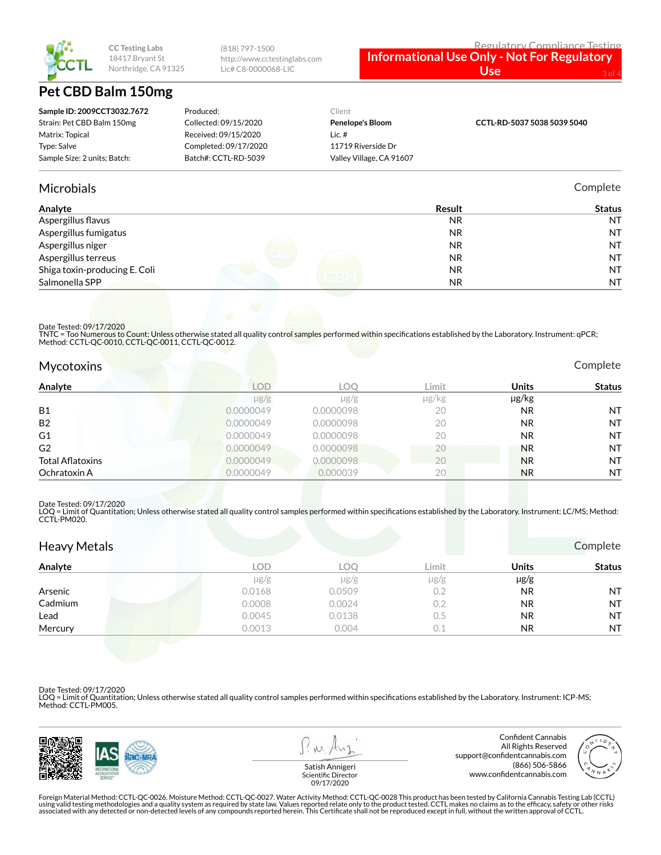

# **Pet CBD Balm 150mg**

| Regulatory Compliance Testin                       |
|----------------------------------------------------|
| <b>Informational Use Only - Not For Regulatory</b> |

 $$ 

| Sample ID: 2009CCT3032.7672  | Produced:             | Client                   |                             |
|------------------------------|-----------------------|--------------------------|-----------------------------|
| Strain: Pet CBD Balm 150mg   | Collected: 09/15/2020 | Penelope's Bloom         | CCTL-RD-5037 5038 5039 5040 |
| Matrix: Topical              | Received: 09/15/2020  | Lic. #                   |                             |
| Type: Salve                  | Completed: 09/17/2020 | 11719 Riverside Dr       |                             |
| Sample Size: 2 units; Batch: | Batch#: CCTL-RD-5039  | Valley Village, CA 91607 |                             |
|                              |                       |                          |                             |

(818) 797-1500

http://www.cctestinglabs.com Lic# C8-0000068-LIC

#### Microbials Complete

| Analyte                       | Result    | <b>Status</b> |
|-------------------------------|-----------|---------------|
| Aspergillus flavus            | <b>NR</b> | <b>NT</b>     |
| Aspergillus fumigatus         | <b>NR</b> | <b>NT</b>     |
| Aspergillus niger             | <b>NR</b> | <b>NT</b>     |
| Aspergillus terreus           | <b>NR</b> | <b>NT</b>     |
| Shiga toxin-producing E. Coli | NR.       | <b>NT</b>     |
| Salmonella SPP                | NR.       | <b>NT</b>     |

Date Tested: 09/17/2020

TNTC = Too Numerous to Count; Unless otherwise stated all quality control samples performed within specifications established by the Laboratory. Instrument: qPCR;<br>Method: CCTL-QC-0010, CCTL-QC-0011, CCTL-QC-0012.

| <b>Mycotoxins</b> | Complete |
|-------------------|----------|
|                   |          |

| Analyte                 | <b>LOD</b> | LOO       | Limit | Units     | <b>Status</b> |
|-------------------------|------------|-----------|-------|-----------|---------------|
|                         | $\mu$ g/g  | $\mu$ g/g | µg/kg | µg/kg     |               |
| <b>B1</b>               | 0.0000049  | 0.0000098 | 20    | <b>NR</b> | <b>NT</b>     |
| <b>B2</b>               | 0.0000049  | 0.0000098 | 20    | <b>NR</b> | <b>NT</b>     |
| G1                      | 0.0000049  | 0.0000098 | 20    | <b>NR</b> | <b>NT</b>     |
| G <sub>2</sub>          | 0.0000049  | 0.0000098 | 20    | <b>NR</b> | <b>NT</b>     |
| <b>Total Aflatoxins</b> | 0.0000049  | 0.0000098 | 20    | <b>NR</b> | <b>NT</b>     |
| Ochratoxin A            | 0.0000049  | 0.000039  | 20    | <b>NR</b> | <b>NT</b>     |

#### Date Tested: 09/17/2020

LOQ = Limit of Quantitation; Unless otherwise stated all quality control samples performed within specifications established by the Laboratory. Instrument: LC/MS; Method:<br>CCTL-PM020.

| <b>Heavy Metals</b> |            |            |           |           | Complete      |
|---------------------|------------|------------|-----------|-----------|---------------|
| Analyte             | <b>LOD</b> | <b>LOQ</b> | Limit     | Units     | <b>Status</b> |
|                     | $\mu$ g/g  | $\mu$ g/g  | $\mu$ g/g | $\mu$ g/g |               |
| Arsenic             | 0.0168     | 0.0509     | 0.2       | <b>NR</b> | <b>NT</b>     |
| Cadmium             | 0.0008     | 0.0024     | 0.2       | <b>NR</b> | <b>NT</b>     |
| Lead                | 0.0045     | 0.0138     | 0.5       | <b>NR</b> | <b>NT</b>     |
| Mercury             | 0.0013     | 0.004      | 0.1       | <b>NR</b> | <b>NT</b>     |

Date Tested: 09/17/2020

LOQ = Limit of Quantitation; Unless otherwise stated all quality control samples performed within specifications established by the Laboratory. Instrument: ICP-MS; Method: CCTL-PM005.



**MA** 

Confident Cannabis All Rights Reserved support@confidentcannabis.com (866) 506-5866 www.confidentcannabis.com



Satish Annigeri Scientific Director 09/17/2020